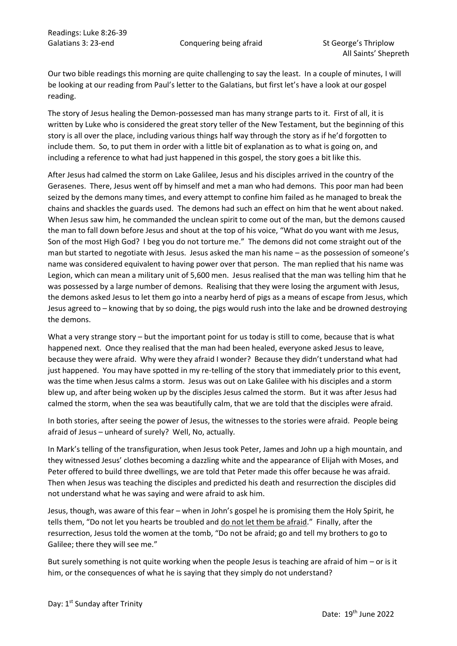Our two bible readings this morning are quite challenging to say the least. In a couple of minutes, I will be looking at our reading from Paul's letter to the Galatians, but first let's have a look at our gospel reading.

The story of Jesus healing the Demon-possessed man has many strange parts to it. First of all, it is written by Luke who is considered the great story teller of the New Testament, but the beginning of this story is all over the place, including various things half way through the story as if he'd forgotten to include them. So, to put them in order with a little bit of explanation as to what is going on, and including a reference to what had just happened in this gospel, the story goes a bit like this.

After Jesus had calmed the storm on Lake Galilee, Jesus and his disciples arrived in the country of the Gerasenes. There, Jesus went off by himself and met a man who had demons. This poor man had been seized by the demons many times, and every attempt to confine him failed as he managed to break the chains and shackles the guards used. The demons had such an effect on him that he went about naked. When Jesus saw him, he commanded the unclean spirit to come out of the man, but the demons caused the man to fall down before Jesus and shout at the top of his voice, "What do you want with me Jesus, Son of the most High God? I beg you do not torture me." The demons did not come straight out of the man but started to negotiate with Jesus. Jesus asked the man his name – as the possession of someone's name was considered equivalent to having power over that person. The man replied that his name was Legion, which can mean a military unit of 5,600 men. Jesus realised that the man was telling him that he was possessed by a large number of demons. Realising that they were losing the argument with Jesus, the demons asked Jesus to let them go into a nearby herd of pigs as a means of escape from Jesus, which Jesus agreed to – knowing that by so doing, the pigs would rush into the lake and be drowned destroying the demons.

What a very strange story – but the important point for us today is still to come, because that is what happened next. Once they realised that the man had been healed, everyone asked Jesus to leave, because they were afraid. Why were they afraid I wonder? Because they didn't understand what had just happened. You may have spotted in my re-telling of the story that immediately prior to this event, was the time when Jesus calms a storm. Jesus was out on Lake Galilee with his disciples and a storm blew up, and after being woken up by the disciples Jesus calmed the storm. But it was after Jesus had calmed the storm, when the sea was beautifully calm, that we are told that the disciples were afraid.

In both stories, after seeing the power of Jesus, the witnesses to the stories were afraid. People being afraid of Jesus – unheard of surely? Well, No, actually.

In Mark's telling of the transfiguration, when Jesus took Peter, James and John up a high mountain, and they witnessed Jesus' clothes becoming a dazzling white and the appearance of Elijah with Moses, and Peter offered to build three dwellings, we are told that Peter made this offer because he was afraid. Then when Jesus was teaching the disciples and predicted his death and resurrection the disciples did not understand what he was saying and were afraid to ask him.

Jesus, though, was aware of this fear – when in John's gospel he is promising them the Holy Spirit, he tells them, "Do not let you hearts be troubled and do not let them be afraid." Finally, after the resurrection, Jesus told the women at the tomb, "Do not be afraid; go and tell my brothers to go to Galilee; there they will see me."

But surely something is not quite working when the people Jesus is teaching are afraid of him – or is it him, or the consequences of what he is saying that they simply do not understand?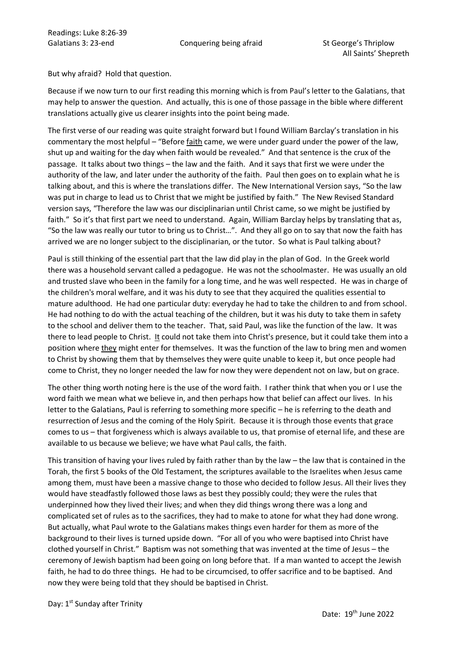But why afraid? Hold that question.

Because if we now turn to our first reading this morning which is from Paul's letter to the Galatians, that may help to answer the question. And actually, this is one of those passage in the bible where different translations actually give us clearer insights into the point being made.

The first verse of our reading was quite straight forward but I found William Barclay's translation in his commentary the most helpful – "Before faith came, we were under guard under the power of the law, shut up and waiting for the day when faith would be revealed." And that sentence is the crux of the passage. It talks about two things – the law and the faith. And it says that first we were under the authority of the law, and later under the authority of the faith. Paul then goes on to explain what he is talking about, and this is where the translations differ. The New International Version says, "So the law was put in charge to lead us to Christ that we might be justified by faith." The New Revised Standard version says, "Therefore the law was our disciplinarian until Christ came, so we might be justified by faith." So it's that first part we need to understand. Again, William Barclay helps by translating that as, "So the law was really our tutor to bring us to Christ…". And they all go on to say that now the faith has arrived we are no longer subject to the disciplinarian, or the tutor. So what is Paul talking about?

Paul is still thinking of the essential part that the law did play in the plan of God. In the Greek world there was a household servant called a pedagogue. He was not the schoolmaster. He was usually an old and trusted slave who been in the family for a long time, and he was well respected. He was in charge of the children's moral welfare, and it was his duty to see that they acquired the qualities essential to mature adulthood. He had one particular duty: everyday he had to take the children to and from school. He had nothing to do with the actual teaching of the children, but it was his duty to take them in safety to the school and deliver them to the teacher. That, said Paul, was like the function of the law. It was there to lead people to Christ. It could not take them into Christ's presence, but it could take them into a position where they might enter for themselves. It was the function of the law to bring men and women to Christ by showing them that by themselves they were quite unable to keep it, but once people had come to Christ, they no longer needed the law for now they were dependent not on law, but on grace.

The other thing worth noting here is the use of the word faith. I rather think that when you or I use the word faith we mean what we believe in, and then perhaps how that belief can affect our lives. In his letter to the Galatians, Paul is referring to something more specific – he is referring to the death and resurrection of Jesus and the coming of the Holy Spirit. Because it is through those events that grace comes to us – that forgiveness which is always available to us, that promise of eternal life, and these are available to us because we believe; we have what Paul calls, the faith.

This transition of having your lives ruled by faith rather than by the law – the law that is contained in the Torah, the first 5 books of the Old Testament, the scriptures available to the Israelites when Jesus came among them, must have been a massive change to those who decided to follow Jesus. All their lives they would have steadfastly followed those laws as best they possibly could; they were the rules that underpinned how they lived their lives; and when they did things wrong there was a long and complicated set of rules as to the sacrifices, they had to make to atone for what they had done wrong. But actually, what Paul wrote to the Galatians makes things even harder for them as more of the background to their lives is turned upside down. "For all of you who were baptised into Christ have clothed yourself in Christ." Baptism was not something that was invented at the time of Jesus – the ceremony of Jewish baptism had been going on long before that. If a man wanted to accept the Jewish faith, he had to do three things. He had to be circumcised, to offer sacrifice and to be baptised. And now they were being told that they should be baptised in Christ.